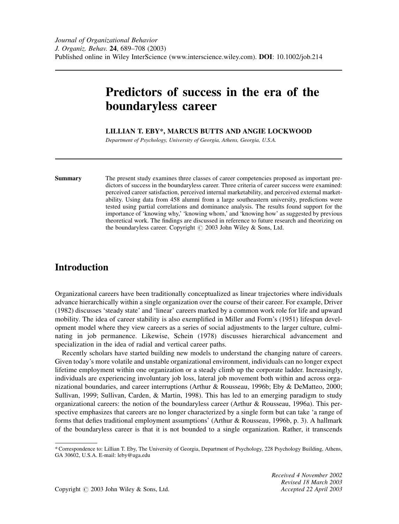# Predictors of success in the era of the boundaryless career

LILLIAN T. EBY\*, MARCUS BUTTS AND ANGIE LOCKWOOD

Department of Psychology, University of Georgia, Athens, Georgia, U.S.A.

Summary The present study examines three classes of career competencies proposed as important predictors of success in the boundaryless career. Three criteria of career success were examined: perceived career satisfaction, perceived internal marketability, and perceived external marketability. Using data from 458 alumni from a large southeastern university, predictions were tested using partial correlations and dominance analysis. The results found support for the importance of 'knowing why,' 'knowing whom,' and 'knowing how' as suggested by previous theoretical work. The findings are discussed in reference to future research and theorizing on the boundaryless career. Copyright  $\odot$  2003 John Wiley & Sons, Ltd.

# **Introduction**

Organizational careers have been traditionally conceptualized as linear trajectories where individuals advance hierarchically within a single organization over the course of their career. For example, Driver (1982) discusses 'steady state' and 'linear' careers marked by a common work role for life and upward mobility. The idea of career stability is also exemplified in Miller and Form's (1951) lifespan development model where they view careers as a series of social adjustments to the larger culture, culminating in job permanence. Likewise, Schein (1978) discusses hierarchical advancement and specialization in the idea of radial and vertical career paths.

Recently scholars have started building new models to understand the changing nature of careers. Given today's more volatile and unstable organizational environment, individuals can no longer expect lifetime employment within one organization or a steady climb up the corporate ladder. Increasingly, individuals are experiencing involuntary job loss, lateral job movement both within and across organizational boundaries, and career interruptions (Arthur & Rousseau, 1996b; Eby & DeMatteo, 2000; Sullivan, 1999; Sullivan, Carden, & Martin, 1998). This has led to an emerging paradigm to study organizational careers: the notion of the boundaryless career (Arthur & Rousseau, 1996a). This perspective emphasizes that careers are no longer characterized by a single form but can take 'a range of forms that defies traditional employment assumptions' (Arthur & Rousseau, 1996b, p. 3). A hallmark of the boundaryless career is that it is not bounded to a single organization. Rather, it transcends

<sup>\*</sup> Correspondence to: Lillian T. Eby, The University of Georgia, Department of Psychology, 228 Psychology Building, Athens, GA 30602, U.S.A. E-mail: leby@uga.edu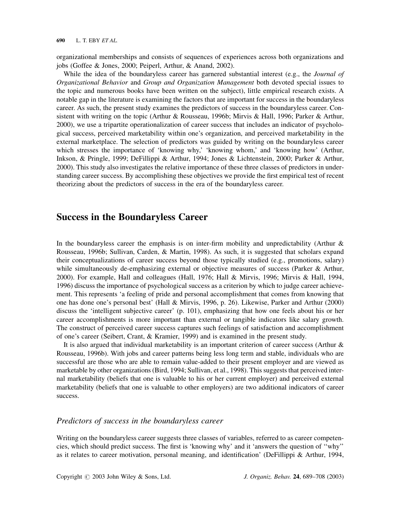organizational memberships and consists of sequences of experiences across both organizations and jobs (Goffee & Jones, 2000; Peiperl, Arthur, & Anand, 2002).

While the idea of the boundaryless career has garnered substantial interest (e.g., the *Journal of* Organizational Behavior and Group and Organization Management both devoted special issues to the topic and numerous books have been written on the subject), little empirical research exists. A notable gap in the literature is examining the factors that are important for success in the boundaryless career. As such, the present study examines the predictors of success in the boundaryless career. Consistent with writing on the topic (Arthur & Rousseau, 1996b; Mirvis & Hall, 1996; Parker & Arthur, 2000), we use a tripartite operationalization of career success that includes an indicator of psychological success, perceived marketability within one's organization, and perceived marketability in the external marketplace. The selection of predictors was guided by writing on the boundaryless career which stresses the importance of 'knowing why,' 'knowing whom,' and 'knowing how' (Arthur, Inkson, & Pringle, 1999; DeFillippi & Arthur, 1994; Jones & Lichtenstein, 2000; Parker & Arthur, 2000). This study also investigates the relative importance of these three classes of predictors in understanding career success. By accomplishing these objectives we provide the first empirical test of recent theorizing about the predictors of success in the era of the boundaryless career.

# Success in the Boundaryless Career

In the boundaryless career the emphasis is on inter-firm mobility and unpredictability (Arthur  $\&$ Rousseau, 1996b; Sullivan, Carden, & Martin, 1998). As such, it is suggested that scholars expand their conceptualizations of career success beyond those typically studied (e.g., promotions, salary) while simultaneously de-emphasizing external or objective measures of success (Parker & Arthur, 2000). For example, Hall and colleagues (Hall, 1976; Hall & Mirvis, 1996; Mirvis & Hall, 1994, 1996) discuss the importance of psychological success as a criterion by which to judge career achievement. This represents 'a feeling of pride and personal accomplishment that comes from knowing that one has done one's personal best' (Hall & Mirvis, 1996, p. 26). Likewise, Parker and Arthur (2000) discuss the 'intelligent subjective career' (p. 101), emphasizing that how one feels about his or her career accomplishments is more important than external or tangible indicators like salary growth. The construct of perceived career success captures such feelings of satisfaction and accomplishment of one's career (Seibert, Crant, & Kramier, 1999) and is examined in the present study.

It is also argued that individual marketability is an important criterion of career success (Arthur & Rousseau, 1996b). With jobs and career patterns being less long term and stable, individuals who are successful are those who are able to remain value-added to their present employer and are viewed as marketable by other organizations (Bird, 1994; Sullivan, et al., 1998). This suggests that perceived internal marketability (beliefs that one is valuable to his or her current employer) and perceived external marketability (beliefs that one is valuable to other employers) are two additional indicators of career success.

## Predictors of success in the boundaryless career

Writing on the boundaryless career suggests three classes of variables, referred to as career competencies, which should predict success. The first is 'knowing why' and it 'answers the question of ''why'' as it relates to career motivation, personal meaning, and identification' (DeFillippi & Arthur, 1994,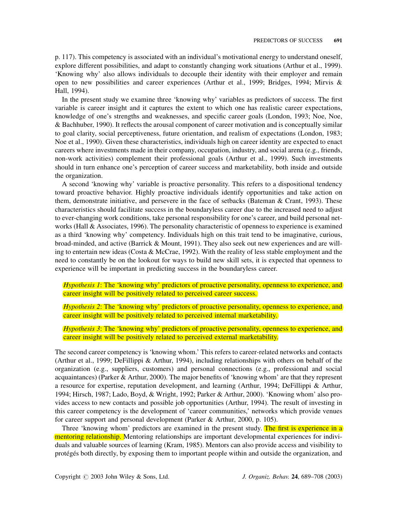p. 117). This competency is associated with an individual's motivational energy to understand oneself, explore different possibilities, and adapt to constantly changing work situations (Arthur et al., 1999). 'Knowing why' also allows individuals to decouple their identity with their employer and remain open to new possibilities and career experiences (Arthur et al., 1999; Bridges, 1994; Mirvis & Hall, 1994).

In the present study we examine three 'knowing why' variables as predictors of success. The first variable is career insight and it captures the extent to which one has realistic career expectations, knowledge of one's strengths and weaknesses, and specific career goals (London, 1993; Noe, Noe, & Bachhuber, 1990). It reflects the arousal component of career motivation and is conceptually similar to goal clarity, social perceptiveness, future orientation, and realism of expectations (London, 1983; Noe et al., 1990). Given these characteristics, individuals high on career identity are expected to enact careers where investments made in their company, occupation, industry, and social arena (e.g., friends, non-work activities) complement their professional goals (Arthur et al., 1999). Such investments should in turn enhance one's perception of career success and marketability, both inside and outside the organization.

A second 'knowing why' variable is proactive personality. This refers to a dispositional tendency toward proactive behavior. Highly proactive individuals identify opportunities and take action on them, demonstrate initiative, and persevere in the face of setbacks (Bateman & Crant, 1993). These characteristics should facilitate success in the boundaryless career due to the increased need to adjust to ever-changing work conditions, take personal responsibility for one's career, and build personal networks (Hall & Associates, 1996). The personality characteristic of openness to experience is examined as a third 'knowing why' competency. Individuals high on this trait tend to be imaginative, curious, broad-minded, and active (Barrick & Mount, 1991). They also seek out new experiences and are willing to entertain new ideas (Costa & McCrae, 1992). With the reality of less stable employment and the need to constantly be on the lookout for ways to build new skill sets, it is expected that openness to experience will be important in predicting success in the boundaryless career.

Hypothesis 1: The 'knowing why' predictors of proactive personality, openness to experience, and career insight will be positively related to perceived career success.

Hypothesis 2: The 'knowing why' predictors of proactive personality, openness to experience, and career insight will be positively related to perceived internal marketability.

Hypothesis 3: The 'knowing why' predictors of proactive personality, openness to experience, and career insight will be positively related to perceived external marketability.

The second career competency is 'knowing whom.' This refers to career-related networks and contacts (Arthur et al., 1999; DeFillippi & Arthur, 1994), including relationships with others on behalf of the organization (e.g., suppliers, customers) and personal connections (e.g., professional and social acquaintances) (Parker & Arthur, 2000). The major benefits of 'knowing whom' are that they represent a resource for expertise, reputation development, and learning (Arthur, 1994; DeFillippi & Arthur, 1994; Hirsch, 1987; Lado, Boyd, & Wright, 1992; Parker & Arthur, 2000). 'Knowing whom' also provides access to new contacts and possible job opportunities (Arthur, 1994). The result of investing in this career competency is the development of 'career communities,' networks which provide venues for career support and personal development (Parker & Arthur, 2000, p. 105).

Three 'knowing whom' predictors are examined in the present study. The first is experience in a mentoring relationship. Mentoring relationships are important developmental experiences for individuals and valuable sources of learning (Kram, 1985). Mentors can also provide access and visibility to protégés both directly, by exposing them to important people within and outside the organization, and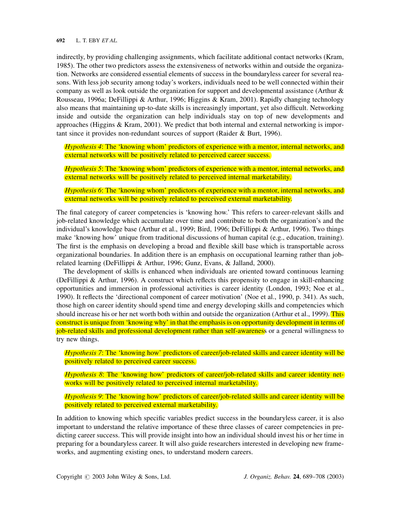indirectly, by providing challenging assignments, which facilitate additional contact networks (Kram, 1985). The other two predictors assess the extensiveness of networks within and outside the organization. Networks are considered essential elements of success in the boundaryless career for several reasons. With less job security among today's workers, individuals need to be well connected within their company as well as look outside the organization for support and developmental assistance (Arthur & Rousseau, 1996a; DeFillippi & Arthur, 1996; Higgins & Kram, 2001). Rapidly changing technology also means that maintaining up-to-date skills is increasingly important, yet also difficult. Networking inside and outside the organization can help individuals stay on top of new developments and approaches (Higgins & Kram, 2001). We predict that both internal and external networking is important since it provides non-redundant sources of support (Raider & Burt, 1996).

Hypothesis 4: The 'knowing whom' predictors of experience with a mentor, internal networks, and external networks will be positively related to perceived career success.

Hypothesis 5: The 'knowing whom' predictors of experience with a mentor, internal networks, and external networks will be positively related to perceived internal marketability.

Hypothesis 6: The 'knowing whom' predictors of experience with a mentor, internal networks, and external networks will be positively related to perceived external marketability.

The final category of career competencies is 'knowing how.' This refers to career-relevant skills and job-related knowledge which accumulate over time and contribute to both the organization's and the individual's knowledge base (Arthur et al., 1999; Bird, 1996; DeFillippi & Arthur, 1996). Two things make 'knowing how' unique from traditional discussions of human capital (e.g., education, training). The first is the emphasis on developing a broad and flexible skill base which is transportable across organizational boundaries. In addition there is an emphasis on occupational learning rather than jobrelated learning (DeFillippi & Arthur, 1996; Gunz, Evans, & Jalland, 2000).

The development of skills is enhanced when individuals are oriented toward continuous learning (DeFillippi & Arthur, 1996). A construct which reflects this propensity to engage in skill-enhancing opportunities and immersion in professional activities is career identity (London, 1993; Noe et al., 1990). It reflects the 'directional component of career motivation' (Noe et al., 1990, p. 341). As such, those high on career identity should spend time and energy developing skills and competencies which should increase his or her net worth both within and outside the organization (Arthur et al., 1999). This construct is unique from 'knowing why' in that the emphasis is on opportunity development in terms of job-related skills and professional development rather than self-awareness or a general willingness to try new things.

Hypothesis 7: The 'knowing how' predictors of career/job-related skills and career identity will be positively related to perceived career success.

Hypothesis 8: The 'knowing how' predictors of career/job-related skills and career identity networks will be positively related to perceived internal marketability.

Hypothesis 9: The 'knowing how' predictors of career/job-related skills and career identity will be positively related to perceived external marketability.

In addition to knowing which specific variables predict success in the boundaryless career, it is also important to understand the relative importance of these three classes of career competencies in predicting career success. This will provide insight into how an individual should invest his or her time in preparing for a boundaryless career. It will also guide researchers interested in developing new frameworks, and augmenting existing ones, to understand modern careers.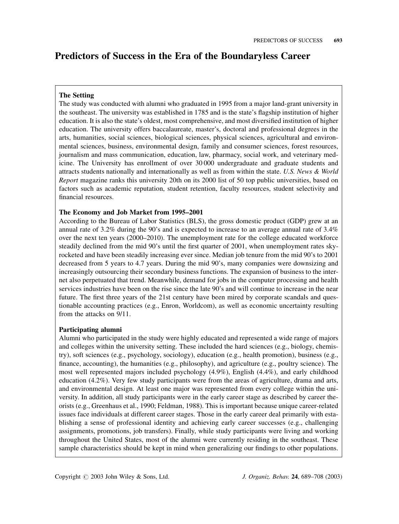# Predictors of Success in the Era of the Boundaryless Career

### The Setting

The study was conducted with alumni who graduated in 1995 from a major land-grant university in the southeast. The university was established in 1785 and is the state's flagship institution of higher education. It is also the state's oldest, most comprehensive, and most diversified institution of higher education. The university offers baccalaureate, master's, doctoral and professional degrees in the arts, humanities, social sciences, biological sciences, physical sciences, agricultural and environmental sciences, business, environmental design, family and consumer sciences, forest resources, journalism and mass communication, education, law, pharmacy, social work, and veterinary medicine. The University has enrollment of over 30 000 undergraduate and graduate students and attracts students nationally and internationally as well as from within the state. U.S. News & World Report magazine ranks this university 20th on its 2000 list of 50 top public universities, based on factors such as academic reputation, student retention, faculty resources, student selectivity and financial resources.

### The Economy and Job Market from 1995–2001

According to the Bureau of Labor Statistics (BLS), the gross domestic product (GDP) grew at an annual rate of 3.2% during the 90's and is expected to increase to an average annual rate of 3.4% over the next ten years (2000–2010). The unemployment rate for the college educated workforce steadily declined from the mid 90's until the first quarter of 2001, when unemployment rates skyrocketed and have been steadily increasing ever since. Median job tenure from the mid 90's to 2001 decreased from 5 years to 4.7 years. During the mid 90's, many companies were downsizing and increasingly outsourcing their secondary business functions. The expansion of business to the internet also perpetuated that trend. Meanwhile, demand for jobs in the computer processing and health services industries have been on the rise since the late 90's and will continue to increase in the near future. The first three years of the 21st century have been mired by corporate scandals and questionable accounting practices (e.g., Enron, Worldcom), as well as economic uncertainty resulting from the attacks on 9/11.

### Participating alumni

Alumni who participated in the study were highly educated and represented a wide range of majors and colleges within the university setting. These included the hard sciences (e.g., biology, chemistry), soft sciences (e.g., psychology, sociology), education (e.g., health promotion), business (e.g., finance, accounting), the humanities (e.g., philosophy), and agriculture (e.g., poultry science). The most well represented majors included psychology (4.9%), English (4.4%), and early childhood education (4.2%). Very few study participants were from the areas of agriculture, drama and arts, and environmental design. At least one major was represented from every college within the university. In addition, all study participants were in the early career stage as described by career theorists (e.g., Greenhaus et al., 1990; Feldman, 1988). This is important because unique career-related issues face individuals at different career stages. Those in the early career deal primarily with establishing a sense of professional identity and achieving early career successes (e.g., challenging assignments, promotions, job transfers). Finally, while study participants were living and working throughout the United States, most of the alumni were currently residing in the southeast. These sample characteristics should be kept in mind when generalizing our findings to other populations.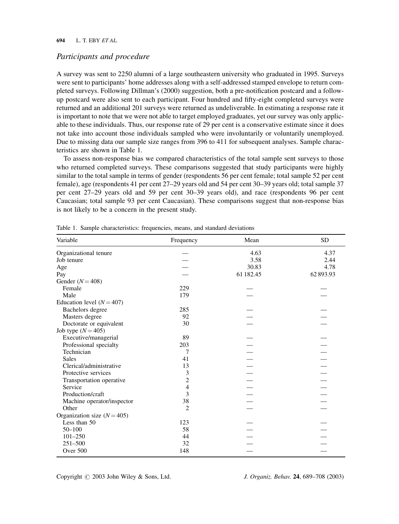## Participants and procedure

A survey was sent to 2250 alumni of a large southeastern university who graduated in 1995. Surveys were sent to participants' home addresses along with a self-addressed stamped envelope to return completed surveys. Following Dillman's (2000) suggestion, both a pre-notification postcard and a followup postcard were also sent to each participant. Four hundred and fifty-eight completed surveys were returned and an additional 201 surveys were returned as undeliverable. In estimating a response rate it is important to note that we were not able to target employed graduates, yet our survey was only applicable to these individuals. Thus, our response rate of 29 per cent is a conservative estimate since it does not take into account those individuals sampled who were involuntarily or voluntarily unemployed. Due to missing data our sample size ranges from 396 to 411 for subsequent analyses. Sample characteristics are shown in Table 1.

To assess non-response bias we compared characteristics of the total sample sent surveys to those who returned completed surveys. These comparisons suggested that study participants were highly similar to the total sample in terms of gender (respondents 56 per cent female; total sample 52 per cent female), age (respondents 41 per cent 27–29 years old and 54 per cent 30–39 years old; total sample 37 per cent 27–29 years old and 59 per cent 30–39 years old), and race (respondents 96 per cent Caucasian; total sample 93 per cent Caucasian). These comparisons suggest that non-response bias is not likely to be a concern in the present study.

| Variable                      | Frequency      | Mean      | <b>SD</b> |
|-------------------------------|----------------|-----------|-----------|
| Organizational tenure         |                | 4.63      | 4.37      |
| Job tenure                    |                | 3.58      | 2.44      |
| Age                           |                | 30.83     | 4.78      |
| Pay                           |                | 61 182.45 | 62893.93  |
| Gender $(N=408)$              |                |           |           |
| Female                        | 229            |           |           |
| Male                          | 179            |           |           |
| Education level $(N = 407)$   |                |           |           |
| Bachelors degree              | 285            |           |           |
| Masters degree                | 92             |           |           |
| Doctorate or equivalent       | 30             |           |           |
| Job type $(N=405)$            |                |           |           |
| Executive/managerial          | 89             |           |           |
| Professional specialty        | 203            |           |           |
| Technician                    | 7              |           |           |
| Sales                         | 41             |           |           |
| Clerical/administrative       | 13             |           |           |
| Protective services           | 3              |           |           |
| Transportation operative      | $\overline{c}$ |           |           |
| Service                       | $\overline{4}$ |           |           |
| Production/craft              | 3              |           |           |
| Machine operator/inspector    | 38             |           |           |
| Other                         | 2              |           |           |
| Organization size $(N = 405)$ |                |           |           |
| Less than 50                  | 123            |           |           |
| $50 - 100$                    | 58             |           |           |
| $101 - 250$                   | 44             |           |           |
| $251 - 500$                   | 32             |           |           |
| Over 500                      | 148            |           |           |

Table 1. Sample characteristics: frequencies, means, and standard deviations

Copyright  $\odot$  2003 John Wiley & Sons, Ltd. J. Organiz. Behav. 24, 689–708 (2003)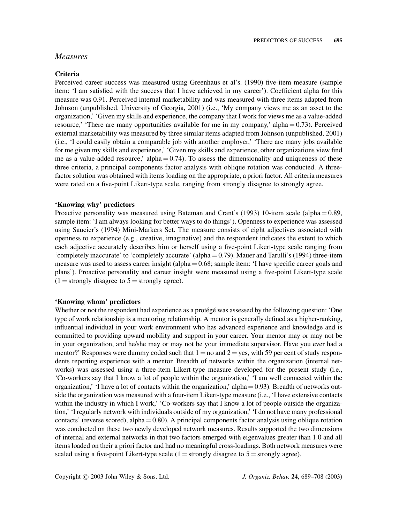#### Criteria

Perceived career success was measured using Greenhaus et al's. (1990) five-item measure (sample item: 'I am satisfied with the success that I have achieved in my career'). Coefficient alpha for this measure was 0.91. Perceived internal marketability and was measured with three items adapted from Johnson (unpublished, University of Georgia, 2001) (i.e., 'My company views me as an asset to the organization,' 'Given my skills and experience, the company that I work for views me as a value-added resource,' 'There are many opportunities available for me in my company,' alpha  $= 0.73$ ). Perceived external marketability was measured by three similar items adapted from Johnson (unpublished, 2001) (i.e., 'I could easily obtain a comparable job with another employer,' 'There are many jobs available for me given my skills and experience,' 'Given my skills and experience, other organizations view find me as a value-added resource,' alpha  $= 0.74$ ). To assess the dimensionality and uniqueness of these three criteria, a principal components factor analysis with oblique rotation was conducted. A threefactor solution was obtained with items loading on the appropriate, a priori factor. All criteria measures were rated on a five-point Likert-type scale, ranging from strongly disagree to strongly agree.

### 'Knowing why' predictors

Proactive personality was measured using Bateman and Crant's  $(1993)$  10-item scale (alpha = 0.89, sample item: 'I am always looking for better ways to do things'). Openness to experience was assessed using Saucier's (1994) Mini-Markers Set. The measure consists of eight adjectives associated with openness to experience (e.g., creative, imaginative) and the respondent indicates the extent to which each adjective accurately describes him or herself using a five-point Likert-type scale ranging from 'completely inaccurate' to 'completely accurate' (alpha  $= 0.79$ ). Mauer and Tarulli's (1994) three-item measure was used to assess career insight (alpha  $= 0.68$ ; sample item: 'I have specific career goals and plans'). Proactive personality and career insight were measured using a five-point Likert-type scale  $(1 =$  strongly disagree to  $5 =$  strongly agree).

### 'Knowing whom' predictors

Whether or not the respondent had experience as a protégé was assessed by the following question: 'One type of work relationship is a mentoring relationship. A mentor is generally defined as a higher-ranking, influential individual in your work environment who has advanced experience and knowledge and is committed to providing upward mobility and support in your career. Your mentor may or may not be in your organization, and he/she may or may not be your immediate supervisor. Have you ever had a mentor?' Responses were dummy coded such that  $1 =$  no and  $2 =$  yes, with 59 per cent of study respondents reporting experience with a mentor. Breadth of networks within the organization (internal networks) was assessed using a three-item Likert-type measure developed for the present study (i.e., 'Co-workers say that I know a lot of people within the organization,' 'I am well connected within the organization,' 'I have a lot of contacts within the organization,' alpha  $= 0.93$ ). Breadth of networks outside the organization was measured with a four-item Likert-type measure (i.e., 'I have extensive contacts within the industry in which I work, 'Co-workers say that I know a lot of people outside the organization,' 'I regularly network with individuals outside of my organization,' 'I do not have many professional contacts' (reverse scored), alpha  $= 0.80$ ). A principal components factor analysis using oblique rotation was conducted on these two newly developed network measures. Results supported the two dimensions of internal and external networks in that two factors emerged with eigenvalues greater than 1.0 and all items loaded on their a priori factor and had no meaningful cross-loadings. Both network measures were scaled using a five-point Likert-type scale  $(1 =$  strongly disagree to  $5 =$  strongly agree).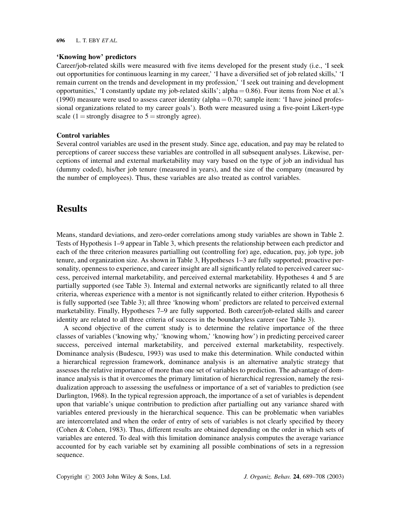#### 'Knowing how' predictors

Career/job-related skills were measured with five items developed for the present study (i.e., 'I seek out opportunities for continuous learning in my career,' 'I have a diversified set of job related skills,' 'I remain current on the trends and development in my profession,' 'I seek out training and development opportunities,' 'I constantly update my job-related skills'; alpha  $= 0.86$ ). Four items from Noe et al.'s (1990) measure were used to assess career identity (alpha  $= 0.70$ ; sample item: 'I have joined professional organizations related to my career goals'). Both were measured using a five-point Likert-type scale (1 = strongly disagree to  $5$  = strongly agree).

#### Control variables

Several control variables are used in the present study. Since age, education, and pay may be related to perceptions of career success these variables are controlled in all subsequent analyses. Likewise, perceptions of internal and external marketability may vary based on the type of job an individual has (dummy coded), his/her job tenure (measured in years), and the size of the company (measured by the number of employees). Thus, these variables are also treated as control variables.

# **Results**

Means, standard deviations, and zero-order correlations among study variables are shown in Table 2. Tests of Hypothesis 1–9 appear in Table 3, which presents the relationship between each predictor and each of the three criterion measures partialling out (controlling for) age, education, pay, job type, job tenure, and organization size. As shown in Table 3, Hypotheses 1–3 are fully supported; proactive personality, openness to experience, and career insight are all significantly related to perceived career success, perceived internal marketability, and perceived external marketability. Hypotheses 4 and 5 are partially supported (see Table 3). Internal and external networks are significantly related to all three criteria, whereas experience with a mentor is not significantly related to either criterion. Hypothesis 6 is fully supported (see Table 3); all three 'knowing whom' predictors are related to perceived external marketability. Finally, Hypotheses 7–9 are fully supported. Both career/job-related skills and career identity are related to all three criteria of success in the boundaryless career (see Table 3).

A second objective of the current study is to determine the relative importance of the three classes of variables ('knowing why,' 'knowing whom,' 'knowing how') in predicting perceived career success, perceived internal marketability, and perceived external marketability, respectively. Dominance analysis (Budescu, 1993) was used to make this determination. While conducted within a hierarchical regression framework, dominance analysis is an alternative analytic strategy that assesses the relative importance of more than one set of variables to prediction. The advantage of dominance analysis is that it overcomes the primary limitation of hierarchical regression, namely the residualization approach to assessing the usefulness or importance of a set of variables to prediction (see Darlington, 1968). In the typical regression approach, the importance of a set of variables is dependent upon that variable's unique contribution to prediction after partialling out any variance shared with variables entered previously in the hierarchical sequence. This can be problematic when variables are intercorrelated and when the order of entry of sets of variables is not clearly specified by theory (Cohen & Cohen, 1983). Thus, different results are obtained depending on the order in which sets of variables are entered. To deal with this limitation dominance analysis computes the average variance accounted for by each variable set by examining all possible combinations of sets in a regression sequence.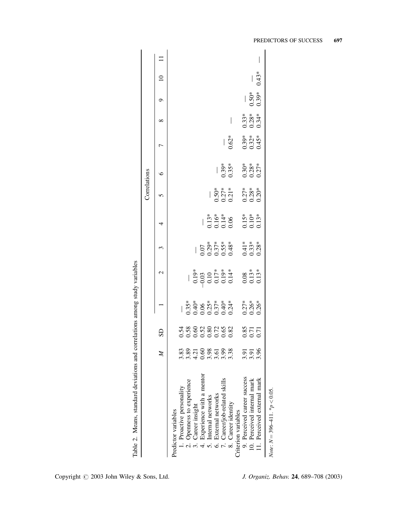|                                                                                                       |            |                       |                                                       |                                                                                                                                          |                                             |   | Correlations                                                                  |                    |                               |                         |                    |                  |  |
|-------------------------------------------------------------------------------------------------------|------------|-----------------------|-------------------------------------------------------|------------------------------------------------------------------------------------------------------------------------------------------|---------------------------------------------|---|-------------------------------------------------------------------------------|--------------------|-------------------------------|-------------------------|--------------------|------------------|--|
|                                                                                                       | Z          | SD                    |                                                       | $\mathbf{\Omega}$                                                                                                                        | 3                                           | 4 | $\sqrt{2}$                                                                    | $\circ$            |                               | ${}^{\circ}$            | $\circ$            |                  |  |
| Predictor variables                                                                                   |            |                       |                                                       |                                                                                                                                          |                                             |   |                                                                               |                    |                               |                         |                    |                  |  |
| 1. Proactive personality                                                                              |            |                       |                                                       |                                                                                                                                          |                                             |   |                                                                               |                    |                               |                         |                    |                  |  |
|                                                                                                       |            |                       |                                                       |                                                                                                                                          |                                             |   |                                                                               |                    |                               |                         |                    |                  |  |
| 2. Openness to experience<br>3. Career insight<br>4. Experience with a mentor<br>5. Internal networks |            |                       |                                                       |                                                                                                                                          |                                             |   |                                                                               |                    |                               |                         |                    |                  |  |
|                                                                                                       |            |                       |                                                       |                                                                                                                                          |                                             |   |                                                                               |                    |                               |                         |                    |                  |  |
|                                                                                                       |            |                       |                                                       |                                                                                                                                          |                                             |   |                                                                               |                    |                               |                         |                    |                  |  |
| 6. External networks<br>7. Career/job-related skills                                                  |            |                       |                                                       |                                                                                                                                          |                                             |   |                                                                               |                    |                               |                         |                    |                  |  |
|                                                                                                       |            |                       |                                                       |                                                                                                                                          |                                             |   |                                                                               |                    |                               |                         |                    |                  |  |
| 8. Career identity                                                                                    |            | 33882282<br>000000000 | $\frac{1}{1}$<br>0.35<br>0.30<br>0.37<br>0.34<br>0.34 | $\begin{array}{c}\n 1.9^* \\ -0.19^* \\ -0.03 \\ -0.10 \\ -0.19^* \\ -0.19^* \\ -0.19^* \\ -0.19^* \\ -0.19^* \\ -0.14^* \\ \end{array}$ | $\frac{1}{0.07}$<br>0.29*<br>0.35*<br>0.48* |   | $\begin{array}{c} 1.50^* \\ 0.27^* \\ 0.21^* \\ 0.23^* \\ 0.20^* \end{array}$ | $\frac{-}{0.39*}$  | $\frac{1}{62}$                |                         |                    |                  |  |
| Criterion variables                                                                                   |            |                       |                                                       |                                                                                                                                          |                                             |   |                                                                               |                    |                               |                         |                    |                  |  |
| 9. Perceived career success                                                                           |            |                       | 0.27*<br>0.26*<br>0.26*                               | $\begin{array}{c} 0.08 \\ 0.13* \\ 0.13* \end{array}$                                                                                    | $0.41*$<br>$0.33*$<br>$0.28*$               |   |                                                                               | $0.30*$<br>$0.28*$ | $3.39*$<br>$3.32*$<br>$0.45*$ |                         |                    |                  |  |
| 10. Perceived internal mark                                                                           | 555<br>358 | 85<br>0.71<br>0.71    |                                                       |                                                                                                                                          |                                             |   |                                                                               |                    |                               | 0.33*<br>0.28*<br>0.34* | $\frac{1}{0.50}$ * |                  |  |
| 11. Perceived external mark                                                                           |            |                       |                                                       |                                                                                                                                          |                                             |   |                                                                               |                    |                               |                         |                    | $\frac{1}{0.43}$ |  |
| Note: $N = 396 - 411$ . * $p < 0.05$ .                                                                |            |                       |                                                       |                                                                                                                                          |                                             |   |                                                                               |                    |                               |                         |                    |                  |  |

Table 2. Means, standard deviations and correlations among study variables Table 2. Means, standard deviations and correlations among study variables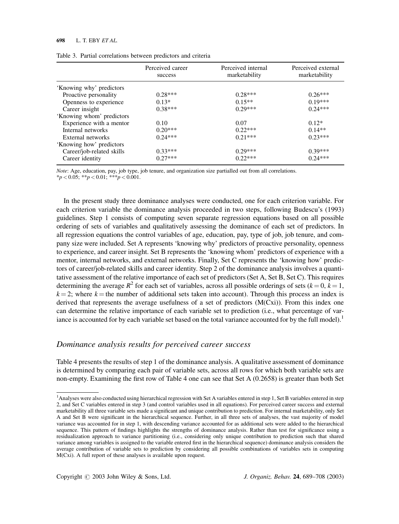|                           | Perceived career<br>success | Perceived internal<br>marketability | Perceived external<br>marketability |
|---------------------------|-----------------------------|-------------------------------------|-------------------------------------|
| 'Knowing why' predictors  |                             |                                     |                                     |
| Proactive personality     | $0.28***$                   | $0.28***$                           | $0.26***$                           |
| Openness to experience    | $0.13*$                     | $0.15**$                            | $0.19***$                           |
| Career insight            | $0.38***$                   | $0.29***$                           | $0.24***$                           |
| 'Knowing whom' predictors |                             |                                     |                                     |
| Experience with a mentor  | 0.10                        | 0.07                                | $0.12*$                             |
| Internal networks         | $0.20***$                   | $0.22***$                           | $0.14**$                            |
| External networks         | $0.24***$                   | $0.21***$                           | $0.23***$                           |
| 'Knowing how' predictors  |                             |                                     |                                     |
| Career/job-related skills | $0.33***$                   | $0.29***$                           | $0.39***$                           |
| Career identity           | $0.27***$                   | $0.22***$                           | $0.24***$                           |

Table 3. Partial correlations between predictors and criteria

Note: Age, education, pay, job type, job tenure, and organization size partialled out from all correlations.  $*_{p}$  < 0.05;  $*_{p}$  < 0.01;  $*_{p}$  < 0.001.

In the present study three dominance analyses were conducted, one for each criterion variable. For each criterion variable the dominance analysis proceeded in two steps, following Budescu's (1993) guidelines. Step 1 consists of computing seven separate regression equations based on all possible ordering of sets of variables and qualitatively assessing the dominance of each set of predictors. In all regression equations the control variables of age, education, pay, type of job, job tenure, and company size were included. Set A represents 'knowing why' predictors of proactive personality, openness to experience, and career insight. Set B represents the 'knowing whom' predictors of experience with a mentor, internal networks, and external networks. Finally, Set C represents the 'knowing how' predictors of career/job-related skills and career identity. Step 2 of the dominance analysis involves a quantitative assessment of the relative importance of each set of predictors (Set A, Set B, Set C). This requires determining the average  $R^2$  for each set of variables, across all possible orderings of sets ( $k = 0, k = 1$ ,  $k = 2$ ; where  $k =$  the number of additional sets taken into account). Through this process an index is derived that represents the average usefulness of a set of predictors (M(Cxi)). From this index one can determine the relative importance of each variable set to prediction (i.e., what percentage of variance is accounted for by each variable set based on the total variance accounted for by the full model).<sup>1</sup>

# Dominance analysis results for perceived career success

Table 4 presents the results of step 1 of the dominance analysis. A qualitative assessment of dominance is determined by comparing each pair of variable sets, across all rows for which both variable sets are non-empty. Examining the first row of Table 4 one can see that Set A (0.2658) is greater than both Set

<sup>&</sup>lt;sup>1</sup> Analyses were also conducted using hierarchical regression with Set A variables entered in step 1, Set B variables entered in step 2, and Set C variables entered in step 3 (and control variables used in all equations). For perceived career success and external marketability all three variable sets made a significant and unique contribution to prediction. For internal marketability, only Set A and Set B were significant in the hierarchical sequence. Further, in all three sets of analyses, the vast majority of model variance was accounted for in step 1, with descending variance accounted for as additional sets were added to the hierarchical sequence. This pattern of findings highlights the strengths of dominance analysis. Rather than test for significance using a residualization approach to variance partitioning (i.e., considering only unique contribution to prediction such that shared variance among variables is assigned to the variable entered first in the hierarchical sequence) dominance analysis considers the average contribution of variable sets to prediction by considering all possible combinations of variables sets in computing M(Cxi). A full report of these analyses is available upon request.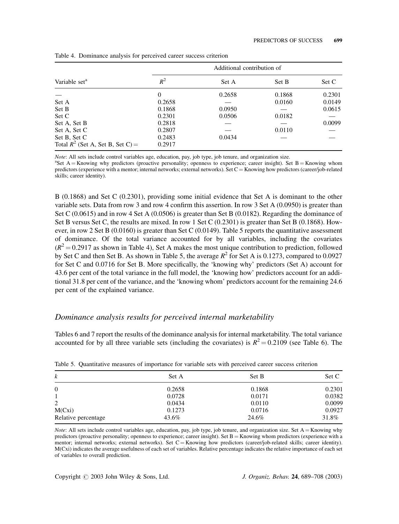|                                     |        | Additional contribution of |        |        |  |
|-------------------------------------|--------|----------------------------|--------|--------|--|
| Variable set <sup>a</sup>           | $R^2$  | Set A                      | Set B  | Set C  |  |
|                                     | 0      | 0.2658                     | 0.1868 | 0.2301 |  |
| Set A                               | 0.2658 |                            | 0.0160 | 0.0149 |  |
| Set B                               | 0.1868 | 0.0950                     |        | 0.0615 |  |
| Set C                               | 0.2301 | 0.0506                     | 0.0182 |        |  |
| Set A, Set B                        | 0.2818 |                            |        | 0.0099 |  |
| Set A, Set C                        | 0.2807 |                            | 0.0110 |        |  |
| Set B, Set C                        | 0.2483 | 0.0434                     |        |        |  |
| Total $R^2$ (Set A, Set B, Set C) = | 0.2917 |                            |        |        |  |

Table 4. Dominance analysis for perceived career success criterion

Note: All sets include control variables age, education, pay, job type, job tenure, and organization size.

<sup>a</sup>Set A = Knowing why predictors (proactive personality; openness to experience; career insight). Set B = Knowing whom predictors (experience with a mentor; internal networks; external networks). Set  $C =$ Knowing how predictors (career/job-related skills; career identity).

B (0.1868) and Set C (0.2301), providing some initial evidence that Set A is dominant to the other variable sets. Data from row 3 and row 4 confirm this assertion. In row 3 Set A (0.0950) is greater than Set C (0.0615) and in row 4 Set A (0.0506) is greater than Set B (0.0182). Regarding the dominance of Set B versus Set C, the results are mixed. In row 1 Set C (0.2301) is greater than Set B (0.1868). However, in row 2 Set B (0.0160) is greater than Set C (0.0149). Table 5 reports the quantitative assessment of dominance. Of the total variance accounted for by all variables, including the covariates  $(R^2 = 0.2917$  as shown in Table 4), Set A makes the most unique contribution to prediction, followed by Set C and then Set B. As shown in Table 5, the average  $R^2$  for Set A is 0.1273, compared to 0.0927 for Set C and 0.0716 for Set B. More specifically, the 'knowing why' predictors (Set A) account for 43.6 per cent of the total variance in the full model, the 'knowing how' predictors account for an additional 31.8 per cent of the variance, and the 'knowing whom' predictors account for the remaining 24.6 per cent of the explained variance.

# Dominance analysis results for perceived internal marketability

Tables 6 and 7 report the results of the dominance analysis for internal marketability. The total variance accounted for by all three variable sets (including the covariates) is  $R^2 = 0.2109$  (see Table 6). The

| $\boldsymbol{k}$    | Set A  | Set B  | Set C  |
|---------------------|--------|--------|--------|
| $\mathbf{0}$        | 0.2658 | 0.1868 | 0.2301 |
|                     | 0.0728 | 0.0171 | 0.0382 |
| 2                   | 0.0434 | 0.0110 | 0.0099 |
| M(Cxi)              | 0.1273 | 0.0716 | 0.0927 |
| Relative percentage | 43.6%  | 24.6%  | 31.8%  |

Table 5. Quantitative measures of importance for variable sets with perceived career success criterion

Note: All sets include control variables age, education, pay, job type, job tenure, and organization size. Set  $A =$ Knowing why predictors (proactive personality; openness to experience; career insight). Set  $B =$ Knowing whom predictors (experience with a mentor; internal networks; external networks). Set  $C =$ Knowing how predictors (career/job-related skills; career identity). M(Cxi) indicates the average usefulness of each set of variables. Relative percentage indicates the relative importance of each set of variables to overall prediction.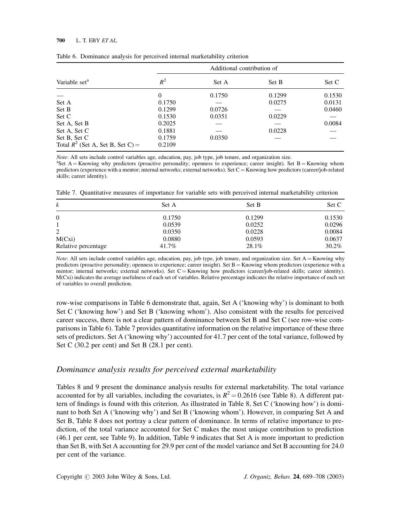|                                     |          | Additional contribution of |        |        |
|-------------------------------------|----------|----------------------------|--------|--------|
| Variable set <sup>a</sup>           | $R^2$    | Set A                      | Set B  | Set C  |
|                                     | $\Omega$ | 0.1750                     | 0.1299 | 0.1530 |
| Set A                               | 0.1750   |                            | 0.0275 | 0.0131 |
| Set B                               | 0.1299   | 0.0726                     |        | 0.0460 |
| Set C                               | 0.1530   | 0.0351                     | 0.0229 |        |
| Set A, Set B                        | 0.2025   |                            |        | 0.0084 |
| Set A, Set C                        | 0.1881   |                            | 0.0228 |        |
| Set B, Set C                        | 0.1759   | 0.0350                     |        |        |
| Total $R^2$ (Set A, Set B, Set C) = | 0.2109   |                            |        |        |

Table 6. Dominance analysis for perceived internal marketability criterion

Note: All sets include control variables age, education, pay, job type, job tenure, and organization size.

<sup>a</sup>Set A = Knowing why predictors (proactive personality; openness to experience; career insight). Set B = Knowing whom predictors (experience with a mentor; internal networks; external networks). Set  $C =$  Knowing how predictors (career/job-related skills; career identity).

Table 7. Quantitative measures of importance for variable sets with perceived internal marketability criterion

| $\boldsymbol{k}$    | Set A  | Set B  | Set C    |
|---------------------|--------|--------|----------|
| $\overline{0}$      | 0.1750 | 0.1299 | 0.1530   |
|                     | 0.0539 | 0.0252 | 0.0296   |
| 2                   | 0.0350 | 0.0228 | 0.0084   |
| M(Cxi)              | 0.0880 | 0.0593 | 0.0637   |
| Relative percentage | 41.7%  | 28.1%  | $30.2\%$ |

*Note*: All sets include control variables age, education, pay, job type, job tenure, and organization size. Set  $A =$ Knowing why predictors (proactive personality; openness to experience; career insight). Set  $B =$ Knowing whom predictors (experience with a mentor; internal networks; external networks). Set  $C =$ Knowing how predictors (career/job-related skills; career identity). M(Cxi) indicates the average usefulness of each set of variables. Relative percentage indicates the relative importance of each set of variables to overall prediction.

row-wise comparisons in Table 6 demonstrate that, again, Set A ('knowing why') is dominant to both Set C ('knowing how') and Set B ('knowing whom'). Also consistent with the results for perceived career success, there is not a clear pattern of dominance between Set B and Set C (see row-wise comparisons in Table 6). Table 7 provides quantitative information on the relative importance of these three sets of predictors. Set A ('knowing why') accounted for 41.7 per cent of the total variance, followed by Set C (30.2 per cent) and Set B (28.1 per cent).

# Dominance analysis results for perceived external marketability

Tables 8 and 9 present the dominance analysis results for external marketability. The total variance accounted for by all variables, including the covariates, is  $R^2 = 0.2616$  (see Table 8). A different pattern of findings is found with this criterion. As illustrated in Table 8, Set C ('knowing how') is dominant to both Set A ('knowing why') and Set B ('knowing whom'). However, in comparing Set A and Set B, Table 8 does not portray a clear pattern of dominance. In terms of relative importance to prediction, of the total variance accounted for Set C makes the most unique contribution to prediction (46.1 per cent, see Table 9). In addition, Table 9 indicates that Set A is more important to prediction than Set B, with Set A accounting for 29.9 per cent of the model variance and Set B accounting for 24.0 per cent of the variance.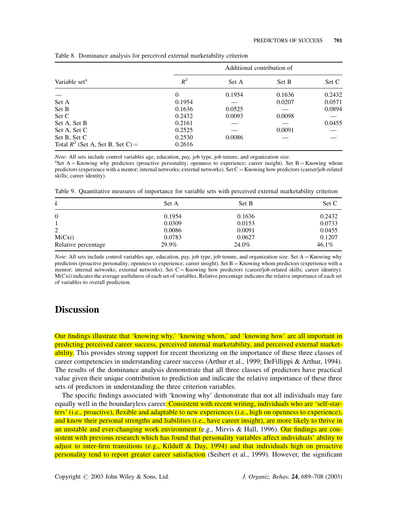|                                     | Additional contribution of |        |        |        |  |
|-------------------------------------|----------------------------|--------|--------|--------|--|
| Variable set <sup>a</sup>           | $R^2$                      | Set A  | Set B  | Set C  |  |
|                                     | 0                          | 0.1954 | 0.1636 | 0.2432 |  |
| Set A                               | 0.1954                     |        | 0.0207 | 0.0571 |  |
| Set B                               | 0.1636                     | 0.0525 |        | 0.0894 |  |
| Set C                               | 0.2432                     | 0.0093 | 0.0098 |        |  |
| Set A, Set B                        | 0.2161                     |        |        | 0.0455 |  |
| Set A, Set C                        | 0.2525                     |        | 0.0091 |        |  |
| Set B, Set C                        | 0.2530                     | 0.0086 |        |        |  |
| Total $R^2$ (Set A, Set B, Set C) = | 0.2616                     |        |        |        |  |

Table 8. Dominance analysis for perceived external marketability criterion

Note: All sets include control variables age, education, pay, job type, job tenure, and organization size.

 $S$ et A = Knowing why predictors (proactive personality; openness to experience; career insight). Set B = Knowing whom predictors (experience with a mentor; internal networks; external networks). Set  $C =$  Knowing how predictors (career/job-related skills; career identity).

Table 9. Quantitative measures of importance for variable sets with perceived external marketability criterion

| $\boldsymbol{k}$    | Set A  | Set B  | Set C    |
|---------------------|--------|--------|----------|
| $\overline{0}$      | 0.1954 | 0.1636 | 0.2432   |
|                     | 0.0309 | 0.0153 | 0.0733   |
| 2                   | 0.0086 | 0.0091 | 0.0455   |
| M(Cxi)              | 0.0783 | 0.0627 | 0.1207   |
| Relative percentage | 29.9%  | 24.0%  | $46.1\%$ |

Note: All sets include control variables age, education, pay, job type, job tenure, and organization size. Set  $A =$ Knowing why predictors (proactive personality; openness to experience; career insight). Set  $B =$  Knowing whom predictors (experience with a mentor; internal networks; external networks). Set  $C =$  Knowing how predictors (career/job-related skills; career identity). M(Cxi) indicates the average usefulness of each set of variables. Relative percentage indicates the relative importance of each set of variables to overall prediction.

# **Discussion**

Our findings illustrate that 'knowing why,' 'knowing whom,' and 'knowing how' are all important in predicting perceived career success, perceived internal marketability, and perceived external marketability. This provides strong support for recent theorizing on the importance of these three classes of career competencies in understanding career success (Arthur et al., 1999; DeFillippi & Arthur, 1994). The results of the dominance analysis demonstrate that all three classes of predictors have practical value given their unique contribution to prediction and indicate the relative importance of these three sets of predictors in understanding the three criterion variables.

The specific findings associated with 'knowing why' demonstrate that not all individuals may fare equally well in the boundaryless career. Consistent with recent writing, individuals who are 'self-starters' (i.e., proactive), flexible and adaptable to new experiences (i.e., high on openness to experience), and know their personal strengths and liabilities (i.e., have career insight), are more likely to thrive in an unstable and ever-changing work environment (e.g., Mirvis & Hall, 1996). Our findings are consistent with previous research which has found that personality variables affect individuals' ability to adjust to inter-firm transitions (e.g., Kilduff & Day, 1994) and that individuals high on proactive personality tend to report greater career satisfaction (Seibert et al., 1999). However, the significant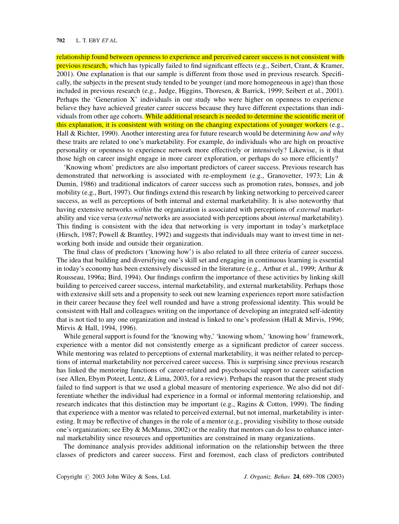relationship found between openness to experience and perceived career success is not consistent with previous research, which has typically failed to find significant effects (e.g., Seibert, Crant, & Kramer, 2001). One explanation is that our sample is different from those used in previous research. Specifically, the subjects in the present study tended to be younger (and more homogeneous in age) than those included in previous research (e.g., Judge, Higgins, Thoresen, & Barrick, 1999; Seibert et al., 2001). Perhaps the 'Generation X' individuals in our study who were higher on openness to experience believe they have achieved greater career success because they have different expectations than individuals from other age cohorts. While additional research is needed to determine the scientific merit of this explanation, it is consistent with writing on the changing expectations of younger workers (e.g., Hall & Richter, 1990). Another interesting area for future research would be determining how and why these traits are related to one's marketability. For example, do individuals who are high on proactive personality or openness to experience network more effectively or intensively? Likewise, is it that those high on career insight engage in more career exploration, or perhaps do so more efficiently?

'Knowing whom' predictors are also important predictors of career success. Previous research has demonstrated that networking is associated with re-employment (e.g., Granovetter, 1973; Lin & Dumin, 1986) and traditional indicators of career success such as promotion rates, bonuses, and job mobility (e.g., Burt, 1997). Our findings extend this research by linking networking to perceived career success, as well as perceptions of both internal and external marketability. It is also noteworthy that having extensive networks *within* the organization is associated with perceptions of *external* marketability and vice versa *(external* networks are associated with perceptions about *internal* marketability). This finding is consistent with the idea that networking is very important in today's marketplace (Hirsch, 1987; Powell & Brantley, 1992) and suggests that individuals may want to invest time in networking both inside and outside their organization.

The final class of predictors ('knowing how') is also related to all three criteria of career success. The idea that building and diversifying one's skill set and engaging in continuous learning is essential in today's economy has been extensively discussed in the literature (e.g., Arthur et al., 1999; Arthur & Rousseau, 1996a; Bird, 1994). Our findings confirm the importance of these activities by linking skill building to perceived career success, internal marketability, and external marketability. Perhaps those with extensive skill sets and a propensity to seek out new learning experiences report more satisfaction in their career because they feel well rounded and have a strong professional identity. This would be consistent with Hall and colleagues writing on the importance of developing an integrated self-identity that is not tied to any one organization and instead is linked to one's profession (Hall & Mirvis, 1996; Mirvis & Hall, 1994, 1996).

While general support is found for the 'knowing why,' 'knowing whom,' 'knowing how' framework, experience with a mentor did not consistently emerge as a significant predictor of career success. While mentoring was related to perceptions of external marketability, it was neither related to perceptions of internal marketability nor perceived career success. This is surprising since previous research has linked the mentoring functions of career-related and psychosocial support to career satisfaction (see Allen, Ebym Poteet, Lentz, & Lima, 2003, for a review). Perhaps the reason that the present study failed to find support is that we used a global measure of mentoring experience. We also did not differentiate whether the individual had experience in a formal or informal mentoring relationship, and research indicates that this distinction may be important (e.g., Ragins & Cotton, 1999). The finding that experience with a mentor was related to perceived external, but not internal, marketability is interesting. It may be reflective of changes in the role of a mentor (e.g., providing visibility to those outside one's organization; see Eby & McManus, 2002) or the reality that mentors can do less to enhance internal marketability since resources and opportunities are constrained in many organizations.

The dominance analysis provides additional information on the relationship between the three classes of predictors and career success. First and foremost, each class of predictors contributed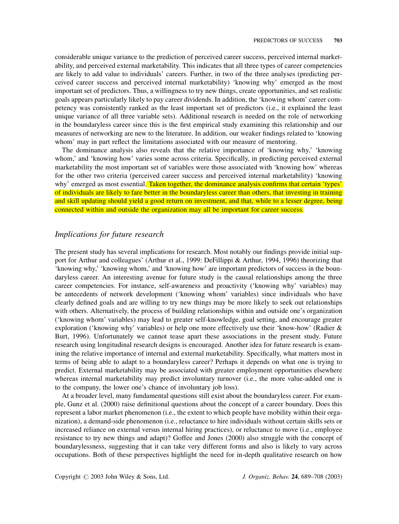considerable unique variance to the prediction of perceived career success, perceived internal marketability, and perceived external marketability. This indicates that all three types of career competencies are likely to add value to individuals' careers. Further, in two of the three analyses (predicting perceived career success and perceived internal marketability) 'knowing why' emerged as the most important set of predictors. Thus, a willingness to try new things, create opportunities, and set realistic goals appears particularly likely to pay career dividends. In addition, the 'knowing whom' career competency was consistently ranked as the least important set of predictors (i.e., it explained the least unique variance of all three variable sets). Additional research is needed on the role of networking in the boundaryless career since this is the first empirical study examining this relationship and our measures of networking are new to the literature. In addition, our weaker findings related to 'knowing whom' may in part reflect the limitations associated with our measure of mentoring.

The dominance analysis also reveals that the relative importance of 'knowing why,' 'knowing whom,' and 'knowing how' varies some across criteria. Specifically, in predicting perceived external marketability the most important set of variables were those associated with 'knowing how' whereas for the other two criteria (perceived career success and perceived internal marketability) 'knowing why' emerged as most essential. Taken together, the dominance analysis confirms that certain 'types' of individuals are likely to fare better in the boundaryless career than others, that investing in training and skill updating should yield a good return on investment, and that, while to a lesser degree, being connected within and outside the organization may all be important for career success.

### Implications for future research

The present study has several implications for research. Most notably our findings provide initial support for Arthur and colleagues' (Arthur et al., 1999: DeFillippi & Arthur, 1994, 1996) theorizing that 'knowing why,' 'knowing whom,' and 'knowing how' are important predictors of success in the boundaryless career. An interesting avenue for future study is the causal relationships among the three career competencies. For instance, self-awareness and proactivity ('knowing why' variables) may be antecedents of network development ('knowing whom' variables) since individuals who have clearly defined goals and are willing to try new things may be more likely to seek out relationships with others. Alternatively, the process of building relationships within and outside one's organization ('knowing whom' variables) may lead to greater self-knowledge, goal setting, and encourage greater exploration ('knowing why' variables) or help one more effectively use their 'know-how' (Radier & Burt, 1996). Unfortunately we cannot tease apart these associations in the present study. Future research using longitudinal research designs is encouraged. Another idea for future research is examining the relative importance of internal and external marketability. Specifically, what matters most in terms of being able to adapt to a boundaryless career? Perhaps it depends on what one is trying to predict. External marketability may be associated with greater employment opportunities elsewhere whereas internal marketability may predict involuntary turnover (i.e., the more value-added one is to the company, the lower one's chance of involuntary job loss).

At a broader level, many fundamental questions still exist about the boundaryless career. For example, Gunz et al. (2000) raise definitional questions about the concept of a career boundary. Does this represent a labor market phenomenon (i.e., the extent to which people have mobility within their organization), a demand-side phenomenon (i.e., reluctance to hire individuals without certain skills sets or increased reliance on external versus internal hiring practices), or reluctance to move (i.e., employee resistance to try new things and adapt)? Goffee and Jones (2000) also struggle with the concept of boundarylessness, suggesting that it can take very different forms and also is likely to vary across occupations. Both of these perspectives highlight the need for in-depth qualitative research on how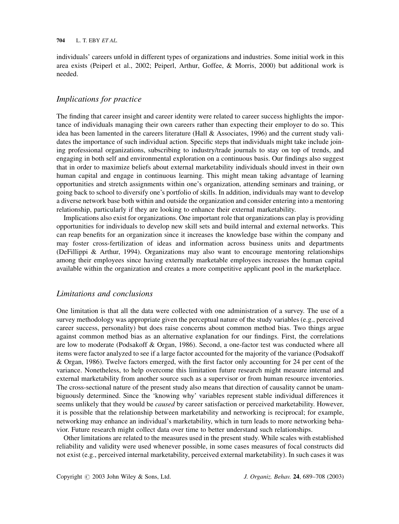individuals' careers unfold in different types of organizations and industries. Some initial work in this area exists (Peiperl et al., 2002; Peiperl, Arthur, Goffee, & Morris, 2000) but additional work is needed.

# Implications for practice

The finding that career insight and career identity were related to career success highlights the importance of individuals managing their own careers rather than expecting their employer to do so. This idea has been lamented in the careers literature (Hall & Associates, 1996) and the current study validates the importance of such individual action. Specific steps that individuals might take include joining professional organizations, subscribing to industry/trade journals to stay on top of trends, and engaging in both self and environmental exploration on a continuous basis. Our findings also suggest that in order to maximize beliefs about external marketability individuals should invest in their own human capital and engage in continuous learning. This might mean taking advantage of learning opportunities and stretch assignments within one's organization, attending seminars and training, or going back to school to diversify one's portfolio of skills. In addition, individuals may want to develop a diverse network base both within and outside the organization and consider entering into a mentoring relationship, particularly if they are looking to enhance their external marketability.

Implications also exist for organizations. One important role that organizations can play is providing opportunities for individuals to develop new skill sets and build internal and external networks. This can reap benefits for an organization since it increases the knowledge base within the company and may foster cross-fertilization of ideas and information across business units and departments (DeFillippi & Arthur, 1994). Organizations may also want to encourage mentoring relationships among their employees since having externally marketable employees increases the human capital available within the organization and creates a more competitive applicant pool in the marketplace.

### Limitations and conclusions

One limitation is that all the data were collected with one administration of a survey. The use of a survey methodology was appropriate given the perceptual nature of the study variables (e.g., perceived career success, personality) but does raise concerns about common method bias. Two things argue against common method bias as an alternative explanation for our findings. First, the correlations are low to moderate (Podsakoff & Organ, 1986). Second, a one-factor test was conducted where all items were factor analyzed to see if a large factor accounted for the majority of the variance (Podsakoff & Organ, 1986). Twelve factors emerged, with the first factor only accounting for 24 per cent of the variance. Nonetheless, to help overcome this limitation future research might measure internal and external marketability from another source such as a supervisor or from human resource inventories. The cross-sectional nature of the present study also means that direction of causality cannot be unambiguously determined. Since the 'knowing why' variables represent stable individual differences it seems unlikely that they would be *caused* by career satisfaction or perceived marketability. However, it is possible that the relationship between marketability and networking is reciprocal; for example, networking may enhance an individual's marketability, which in turn leads to more networking behavior. Future research might collect data over time to better understand such relationships.

Other limitations are related to the measures used in the present study. While scales with established reliability and validity were used whenever possible, in some cases measures of focal constructs did not exist (e.g., perceived internal marketability, perceived external marketability). In such cases it was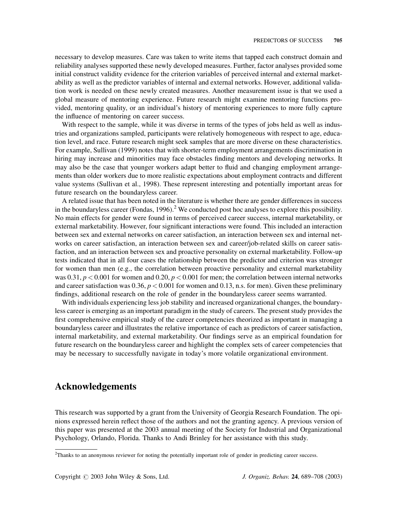necessary to develop measures. Care was taken to write items that tapped each construct domain and reliability analyses supported these newly developed measures. Further, factor analyses provided some initial construct validity evidence for the criterion variables of perceived internal and external marketability as well as the predictor variables of internal and external networks. However, additional validation work is needed on these newly created measures. Another measurement issue is that we used a global measure of mentoring experience. Future research might examine mentoring functions provided, mentoring quality, or an individual's history of mentoring experiences to more fully capture the influence of mentoring on career success.

With respect to the sample, while it was diverse in terms of the types of jobs held as well as industries and organizations sampled, participants were relatively homogeneous with respect to age, education level, and race. Future research might seek samples that are more diverse on these characteristics. For example, Sullivan (1999) notes that with shorter-term employment arrangements discrimination in hiring may increase and minorities may face obstacles finding mentors and developing networks. It may also be the case that younger workers adapt better to fluid and changing employment arrangements than older workers due to more realistic expectations about employment contracts and different value systems (Sullivan et al., 1998). These represent interesting and potentially important areas for future research on the boundaryless career.

A related issue that has been noted in the literature is whether there are gender differences in success in the boundaryless career (Fondas, 1996).<sup>2</sup> We conducted post hoc analyses to explore this possibility. No main effects for gender were found in terms of perceived career success, internal marketability, or external marketability. However, four significant interactions were found. This included an interaction between sex and external networks on career satisfaction, an interaction between sex and internal networks on career satisfaction, an interaction between sex and career/job-related skills on career satisfaction, and an interaction between sex and proactive personality on external marketability. Follow-up tests indicated that in all four cases the relationship between the predictor and criterion was stronger for women than men (e.g., the correlation between proactive personality and external marketability was 0.31,  $p < 0.001$  for women and 0.20,  $p < 0.001$  for men; the correlation between internal networks and career satisfaction was  $0.36$ ,  $p < 0.001$  for women and  $0.13$ , n.s. for men). Given these preliminary findings, additional research on the role of gender in the boundaryless career seems warranted.

With individuals experiencing less job stability and increased organizational changes, the boundaryless career is emerging as an important paradigm in the study of careers. The present study provides the first comprehensive empirical study of the career competencies theorized as important in managing a boundaryless career and illustrates the relative importance of each as predictors of career satisfaction, internal marketability, and external marketability. Our findings serve as an empirical foundation for future research on the boundaryless career and highlight the complex sets of career competencies that may be necessary to successfully navigate in today's more volatile organizational environment.

# Acknowledgements

This research was supported by a grant from the University of Georgia Research Foundation. The opinions expressed herein reflect those of the authors and not the granting agency. A previous version of this paper was presented at the 2003 annual meeting of the Society for Industrial and Organizational Psychology, Orlando, Florida. Thanks to Andi Brinley for her assistance with this study.

<sup>&</sup>lt;sup>2</sup>Thanks to an anonymous reviewer for noting the potentially important role of gender in predicting career success.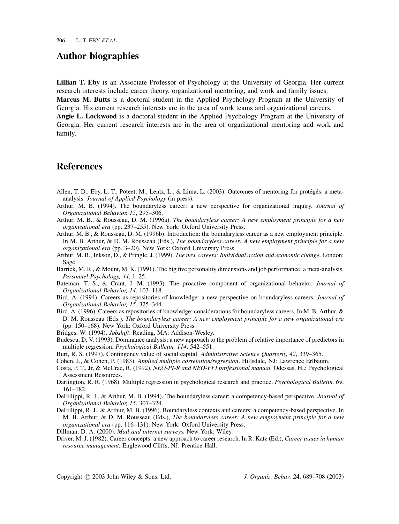# Author biographies

Lillian T. Eby is an Associate Professor of Psychology at the University of Georgia. Her current research interests include career theory, organizational mentoring, and work and family issues. Marcus M. Butts is a doctoral student in the Applied Psychology Program at the University of Georgia. His current research interests are in the area of work teams and organizational careers. Angie L. Lockwood is a doctoral student in the Applied Psychology Program at the University of Georgia. Her current research interests are in the area of organizational mentoring and work and family.

# References

- Allen, T. D., Eby, L. T., Poteet, M., Lentz, L., & Lima, L. (2003). Outcomes of mentoring for protégés: a metaanalysis. Journal of Applied Psychology (in press).
- Arthur, M. B. (1994). The boundaryless career: a new perspective for organizational inquiry. Journal of Organizational Behavior, 15, 295–306.
- Arthur, M. B., & Rousseau, D. M. (1996a). The boundaryless career: A new employment principle for a new organizational era (pp. 237–255). New York: Oxford University Press.
- Arthur, M. B., & Rousseau, D. M. (1996b). Introduction: the boundaryless career as a new employment principle. In M. B. Arthur, & D. M. Rousseau (Eds.), The boundaryless career: A new employment principle for a new organizational era (pp. 3–20). New York: Oxford University Press.
- Arthur, M. B., Inkson, D., & Pringle, J. (1999). The new careers: Individual action and economic change. London: Sage.
- Barrick, M. R., & Mount, M. K. (1991). The big five personality dimensions and job performance: a meta-analysis. Personnel Psychology, 44, 1–25.
- Bateman, T. S., & Crant, J. M. (1993). The proactive component of organizational behavior. Journal of Organizational Behavior, 14, 103–118.
- Bird, A. (1994). Careers as repositories of knowledge: a new perspective on boundaryless careers. Journal of Organizational Behavior, 15, 325–344.
- Bird, A. (1996). Careers as repositories of knowledge: considerations for boundaryless careers. In M. B. Arthur, & D. M. Rousseau (Eds.), The boundaryless career: A new employment principle for a new organizational era (pp. 150–168). New York: Oxford University Press.
- Bridges, W. (1994). Jobshift. Reading, MA: Addison-Wesley.
- Budescu, D. V. (1993). Dominance analysis: a new approach to the problem of relative importance of predictors in multiple regression. Psychological Bulletin, 114, 542–551.
- Burt, R. S. (1997). Contingency value of social capital. Administrative Science Quarterly, 42, 339–365.
- Cohen, J., & Cohen, P. (1983). Applied multiple correlation/regression. Hillsdale, NJ: Lawrence Erlbaum.
- Costa, P. T., Jr, & McCrae, R. (1992). NEO-PI-R and NEO-FFI professional manual. Odessas, FL: Psychological Assessment Resources.
- Darlington, R. R. (1968). Multiple regression in psychological research and practice. Psychological Bulletin, 69, 161–182.
- DeFillippi, R. J., & Arthur, M. B. (1994). The boundaryless career: a competency-based perspective. *Journal of* Organizational Behavior, 15, 307–324.
- DeFillippi, R. J., & Arthur, M. B. (1996). Boundaryless contexts and careers: a competency-based perspective. In M. B. Arthur, & D. M. Rousseau (Eds.), The boundaryless career: A new employment principle for a new organizational era (pp. 116–131). New York: Oxford University Press.
- Dillman, D. A. (2000). Mail and internet surveys. New York: Wiley.
- Driver, M. J. (1982). Career concepts: a new approach to career research. In R. Katz (Ed.), Career issues in human resource management. Englewood Cliffs, NJ: Prentice-Hall.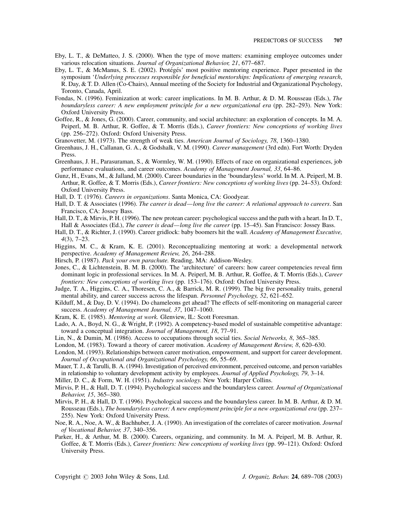- Eby, L. T., & DeMatteo, J. S. (2000). When the type of move matters: examining employee outcomes under various relocation situations. Journal of Organizational Behavior, 21, 677–687.
- Eby, L. T., & McManus, S. E. (2002). Protégés' most positive mentoring experience. Paper presented in the symposium 'Underlying processes responsible for beneficial mentorships: Implications of emerging research, R. Day, & T. D. Allen (Co-Chairs), Annual meeting of the Society for Industrial and Organizational Psychology, Toronto, Canada, April.
- Fondas, N. (1996). Feminization at work: career implications. In M. B. Arthur, & D. M. Rousseau (Eds.), The boundaryless career: A new employment principle for a new organizational era (pp. 282–293). New York: Oxford University Press.
- Goffee, R., & Jones, G. (2000). Career, community, and social architecture: an exploration of concepts. In M. A. Peiperl, M. B. Arthur, R. Goffee, & T. Morris (Eds.), Career frontiers: New conceptions of working lives (pp. 256–272). Oxford: Oxford University Press.
- Granovetter, M. (1973). The strength of weak ties. American Journal of Sociology, 78, 1360–1380.
- Greenhaus, J. H., Callanan, G. A., & Godshalk, V. M. (1990). Career management (3rd edn). Fort Worth: Dryden Press.
- Greenhaus, J. H., Parasuraman, S., & Wormley, W. M. (1990). Effects of race on organizational experiences, job performance evaluations, and career outcomes. Academy of Management Journal, 33, 64–86.
- Gunz, H., Evans, M., & Jalland, M. (2000). Career boundaries in the 'boundaryless' world. In M. A. Peiperl, M. B. Arthur, R. Goffee, & T. Morris (Eds.), Career frontiers: New conceptions of working lives (pp. 24–53). Oxford: Oxford University Press.
- Hall, D. T. (1976). Careers in organizations. Santa Monica, CA: Goodyear.
- Hall, D. T. & Associates (1996). The career is dead—long live the career: A relational approach to careers. San Francisco, CA: Jossey Bass.
- Hall, D. T., & Mirvis, P. H. (1996). The new protean career: psychological success and the path with a heart. In D. T., Hall & Associates (Ed.), *The career is dead—long live the career* (pp. 15–45). San Francisco: Jossey Bass.
- Hall, D. T., & Richter, J. (1990). Career gridlock: baby boomers hit the wall. Academy of Management Executive, 4(3), 7–23.
- Higgins, M. C., & Kram, K. E. (2001). Reconceptualizing mentoring at work: a developmental network perspective. Academy of Management Review, 26, 264–288.
- Hirsch, P. (1987). Pack your own parachute. Reading, MA: Addison-Wesley.
- Jones, C., & Lichtenstein, B. M. B. (2000). The 'architecture' of careers: how career competencies reveal firm dominant logic in professional services. In M. A. Peiperl, M. B. Arthur, R. Goffee, & T. Morris (Eds.), Career frontiers: New conceptions of working lives (pp. 153–176). Oxford: Oxford University Press.
- Judge, T. A., Higgins, C. A., Thoresen, C. A., & Barrick, M. R. (1999). The big five personality traits, general mental ability, and career success across the lifespan. Personnel Psychology, 52, 621–652.
- Kilduff, M., & Day, D. V. (1994). Do chameleons get ahead? The effects of self-monitoring on managerial career success. Academy of Management Journal, 37, 1047–1060.
- Kram, K. E. (1985). Mentoring at work. Glenview, IL: Scott Foresman.
- Lado, A. A., Boyd, N. G., & Wright, P. (1992). A competency-based model of sustainable competitive advantage: toward a conceptual integration. Journal of Management, 18, 77–91.
- Lin, N., & Dumin, M. (1986). Access to occupations through social ties. Social Networks, 8, 365–385.
- London, M. (1983). Toward a theory of career motivation. Academy of Management Review, 8, 620–630.
- London, M. (1993). Relationships between career motivation, empowerment, and support for career development. Journal of Occupational and Organizational Psychology, 66, 55–69.
- Mauer, T. J., & Tarulli, B. A. (1994). Investigation of perceived environment, perceived outcome, and person variables in relationship to voluntary development activity by employees. Journal of Applied Psychology, 79, 3–14.
- Miller, D. C., & Form, W. H. (1951). *Industry sociology*. New York: Harper Collins.
- Mirvis, P. H., & Hall, D. T. (1994). Psychological success and the boundaryless career. Journal of Organizational Behavior, 15, 365–380.
- Mirvis, P. H., & Hall, D. T. (1996). Psychological success and the boundaryless career. In M. B. Arthur, & D. M. Rousseau (Eds.), The boundaryless career: A new employment principle for a new organizational era (pp. 237– 255). New York: Oxford University Press.
- Noe, R. A., Noe, A. W., & Bachhuber, J. A. (1990). An investigation of the correlates of career motivation. Journal of Vocational Behavior, 37, 340–356.
- Parker, H., & Arthur, M. B. (2000). Careers, organizing, and community. In M. A. Peiperl, M. B. Arthur, R. Goffee, & T. Morris (Eds.), Career frontiers: New conceptions of working lives (pp. 99–121). Oxford: Oxford University Press.